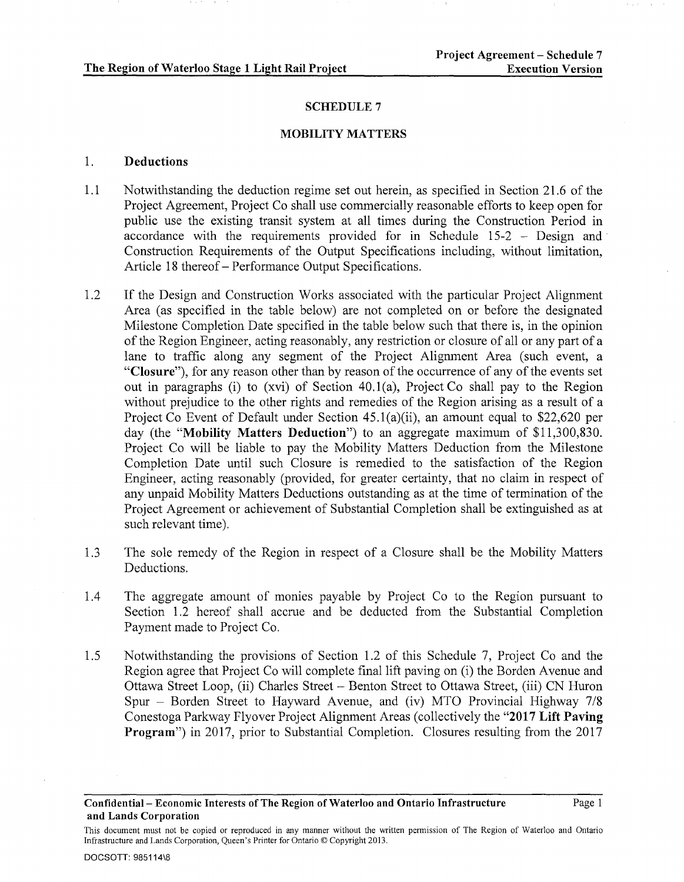### SCHEDULE<sub>7</sub>

#### MOBILITY MATTERS

## 1. Deductions

- 1.1 Notwithstanding the deduction regime set out herein, as specified in Section 21.6 of the Project Agreement, Project Co shall use commercially reasonable efforts to keep open for public use the existing transit system at all times during the Construction Period in accordance with the requirements provided for in Schedule 15-2 - Design and Construction Requirements of the Output Specifications including, without limitation, Article 18 thereof- Performance Output Specifications.
- 1.2 If the Design and Construction Works associated with the particular Project Alignment Area (as specified in the table below) are not completed on or before the designated Milestone Completion Date specified in the table below such that there is, in the opinion of the Region Engineer, acting reasonably, any restriction or closure of all or any part of a lane to traffic along any segment of the Project Alignment Area (such event, a "Closure"), for any reason other than by reason of the occurrence of any of the events set out in paragraphs (i) to (xvi) of Section 40.1(a), Project Co shall pay to the Region without prejudice to the other rights and remedies of the Region arising as a result of a Project Co Event of Default under Section 45.1(a)(ii), an amount equal to \$22,620 per day (the "Mobility Matters Deduction") to an aggregate maximum of \$11,300,830. Project Co will be liable to pay the Mobility Matters Deduction from the Milestone Completion Date until such Closure is remedied to the satisfaction of the Region Engineer, acting reasonably (provided, for greater certainty, that no claim in respect of any unpaid Mobility Matters Deductions outstanding as at the time of termination of the Project Agreement or achievement of Substantial Completion shall be extinguished as at such relevant time).
- 1.3 The sole remedy of the Region in respect of a Closure shall be the Mobility Matters Deductions.
- 1.4 The aggregate amount of monies payable by Project Co to the Region pursuant to Section 1.2 hereof shall accrue and be deducted from the Substantial Completion Payment made to Project Co.
- 1.5 Notwithstanding the provisions of Section 1.2 of this Schedule 7, Project Co and the Region agree that Project Co will complete final lift paving on (i) the Borden Avenue and Ottawa Street Loop, (ii) Charles Street- Benton Street to Ottawa Street, (iii) CN Huron Spur - Borden Street to Hayward Avenue, and (iv) MTO Provincial Highway 7/8 Conestoga Parkway Flyover Project Alignment Areas (collectively the "2017 Lift Paving Program") in 2017, prior to Substantial Completion. Closures resulting from the 2017

Confidential- Economic Interests of The Region of Waterloo and Ontario Infrastructure and Lands Corporation

This document must not be copied or reproduced in any manner without the written permission of The Region of Waterloo and Ontario Infrastructure and Lands Corporation, Queen's Printer for Ontario© Copyright 2013.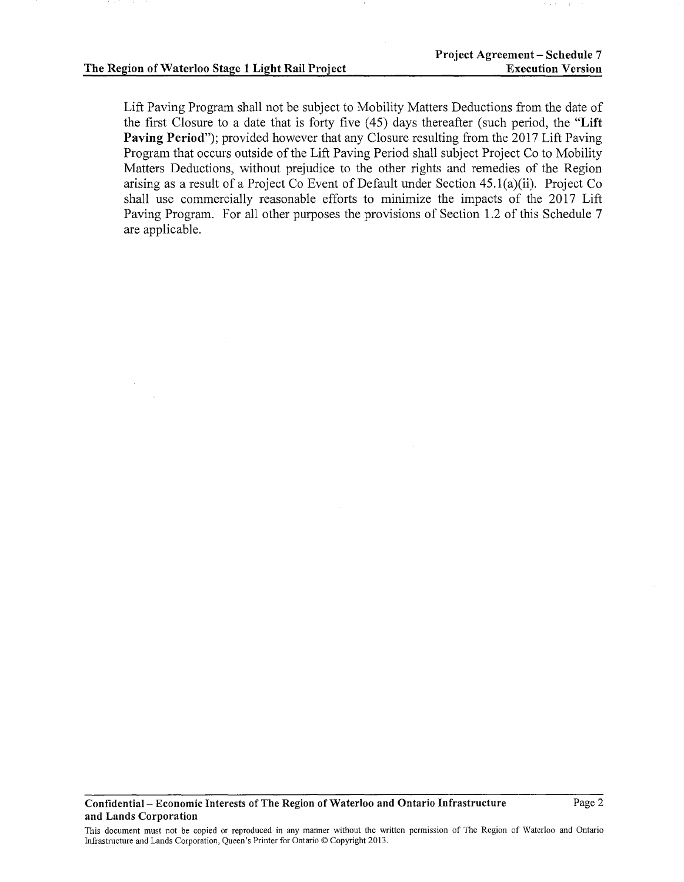Lift Paving Program shall not be subject to Mobility Matters Deductions from the date of the first Closure to a date that is forty five ( 45) days thereafter (such period, the "Lift Paving Period"); provided however that any Closure resulting from the 2017 Lift Paving Program that occurs outside of the Lift Paving Period shall subject Project Co to Mobility Matters Deductions, without prejudice to the other rights and remedies of the Region arising as a result of a Project Co Event of Default under Section 45.1(a)(ii). Project Co shall use commercially reasonable efforts to minimize the impacts of the 2017 Lift Paving Program. For all other purposes the provisions of Section 1.2 of this Schedule 7 are applicable.

This document must not be copied or reproduced in any manner without the written permission of The Region of Waterloo and Ontario Infrastructure and Lands Corporation, Queen's Printer for Ontario© Copyright 2013.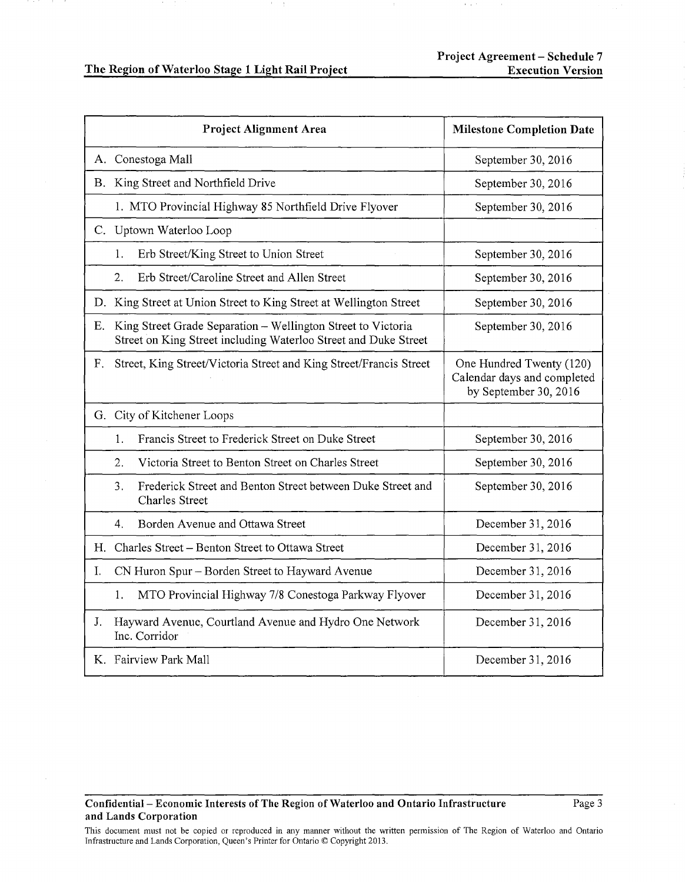|    | <b>Project Alignment Area</b>                                                                                                   | <b>Milestone Completion Date</b>                                                 |
|----|---------------------------------------------------------------------------------------------------------------------------------|----------------------------------------------------------------------------------|
|    | A. Conestoga Mall                                                                                                               | September 30, 2016                                                               |
|    | B. King Street and Northfield Drive                                                                                             | September 30, 2016                                                               |
|    | 1. MTO Provincial Highway 85 Northfield Drive Flyover                                                                           | September 30, 2016                                                               |
|    | C. Uptown Waterloo Loop                                                                                                         |                                                                                  |
|    | Erb Street/King Street to Union Street<br>1.                                                                                    | September 30, 2016                                                               |
|    | Erb Street/Caroline Street and Allen Street<br>2.                                                                               | September 30, 2016                                                               |
| D. | King Street at Union Street to King Street at Wellington Street                                                                 | September 30, 2016                                                               |
| Е. | King Street Grade Separation - Wellington Street to Victoria<br>Street on King Street including Waterloo Street and Duke Street | September 30, 2016                                                               |
| F. | Street, King Street/Victoria Street and King Street/Francis Street                                                              | One Hundred Twenty (120)<br>Calendar days and completed<br>by September 30, 2016 |
|    | G. City of Kitchener Loops                                                                                                      |                                                                                  |
|    | Francis Street to Frederick Street on Duke Street<br>1.                                                                         | September 30, 2016                                                               |
|    | 2.<br>Victoria Street to Benton Street on Charles Street                                                                        | September 30, 2016                                                               |
|    | Frederick Street and Benton Street between Duke Street and<br>3.<br><b>Charles Street</b>                                       | September 30, 2016                                                               |
|    | Borden Avenue and Ottawa Street<br>4.                                                                                           | December 31, 2016                                                                |
| Н. | Charles Street - Benton Street to Ottawa Street                                                                                 | December 31, 2016                                                                |
| Ι. | CN Huron Spur – Borden Street to Hayward Avenue                                                                                 | December 31, 2016                                                                |
|    | 1.<br>MTO Provincial Highway 7/8 Conestoga Parkway Flyover                                                                      | December 31, 2016                                                                |
| J. | Hayward Avenue, Courtland Avenue and Hydro One Network<br>Inc. Corridor                                                         | December 31, 2016                                                                |
|    | K. Fairview Park Mall                                                                                                           | December 31, 2016                                                                |

## Confidential- Economic Interests of The Region of Waterloo and Ontario Infrastructure and Lands Corporation

This document must not be copied or reproduced in any manner without the written permission of The Region of Waterloo and Ontario Infrastructure and Lands Corporation, Queen's Printer for Ontario© Copyright 2013.